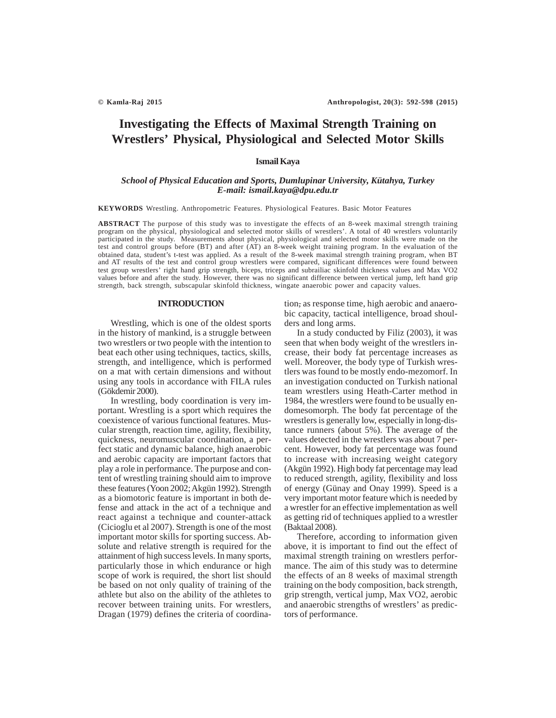# **Investigating the Effects of Maximal Strength Training on Wrestlers' Physical, Physiological and Selected Motor Skills**

# **Ismail Kaya**

# *School of Physical Education and Sports, Dumlupinar University, Kütahya, Turkey E-mail: ismail.kaya@dpu.edu.tr*

**KEYWORDS** Wrestling. Anthropometric Features. Physiological Features. Basic Motor Features

**ABSTRACT** The purpose of this study was to investigate the effects of an 8-week maximal strength training program on the physical, physiological and selected motor skills of wrestlers'. A total of 40 wrestlers voluntarily participated in the study. Measurements about physical, physiological and selected motor skills were made on the test and control groups before (BT) and after (AT) an 8-week weight training program. In the evaluation of the obtained data, student's t-test was applied. As a result of the 8-week maximal strength training program, when BT and AT results of the test and control group wrestlers were compared, significant differences were found between test group wrestlers' right hand grip strength, biceps, triceps and subrailiac skinfold thickness values and Max VO2 values before and after the study. However, there was no significant difference between vertical jump, left hand grip strength, back strength, subscapular skinfold thickness, wingate anaerobic power and capacity values.

#### **INTRODUCTION**

Wrestling, which is one of the oldest sports in the history of mankind, is a struggle between two wrestlers or two people with the intention to beat each other using techniques, tactics, skills, strength, and intelligence, which is performed on a mat with certain dimensions and without using any tools in accordance with FILA rules (Gökdemir 2000).

In wrestling, body coordination is very important. Wrestling is a sport which requires the coexistence of various functional features. Muscular strength, reaction time, agility, flexibility, quickness, neuromuscular coordination, a perfect static and dynamic balance, high anaerobic and aerobic capacity are important factors that play a role in performance. The purpose and content of wrestling training should aim to improve these features (Yoon 2002; Akgün 1992). Strength as a biomotoric feature is important in both defense and attack in the act of a technique and react against a technique and counter-attack (Cicioglu et al 2007). Strength is one of the most important motor skills for sporting success. Absolute and relative strength is required for the attainment of high success levels. In many sports, particularly those in which endurance or high scope of work is required, the short list should be based on not only quality of training of the athlete but also on the ability of the athletes to recover between training units. For wrestlers, Dragan (1979) defines the criteria of coordination, as response time, high aerobic and anaerobic capacity, tactical intelligence, broad shoulders and long arms.

In a study conducted by Filiz (2003), it was seen that when body weight of the wrestlers increase, their body fat percentage increases as well. Moreover, the body type of Turkish wrestlers was found to be mostly endo-mezomorf. In an investigation conducted on Turkish national team wrestlers using Heath-Carter method in 1984, the wrestlers were found to be usually endomesomorph. The body fat percentage of the wrestlers is generally low, especially in long-distance runners (about 5%). The average of the values detected in the wrestlers was about 7 percent. However, body fat percentage was found to increase with increasing weight category (Akgün 1992). High body fat percentage may lead to reduced strength, agility, flexibility and loss of energy (Günay and Onay 1999). Speed is a very important motor feature which is needed by a wrestler for an effective implementation as well as getting rid of techniques applied to a wrestler (Baktaal 2008).

Therefore, according to information given above, it is important to find out the effect of maximal strength training on wrestlers performance. The aim of this study was to determine the effects of an 8 weeks of maximal strength training on the body composition, back strength, grip strength, vertical jump, Max VO2, aerobic and anaerobic strengths of wrestlers' as predictors of performance.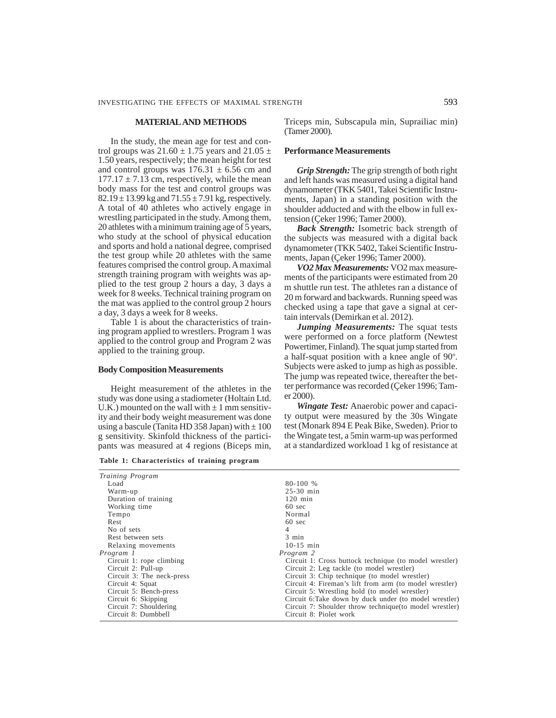## **MATERIAL AND METHODS**

In the study, the mean age for test and control groups was  $21.60 \pm 1.75$  years and  $21.05 \pm 1.75$ 1.50 years, respectively; the mean height for test and control groups was  $176.31 \pm 6.56$  cm and  $177.17 \pm 7.13$  cm, respectively, while the mean body mass for the test and control groups was  $82.19 \pm 13.99$  kg and  $71.55 \pm 7.91$  kg, respectively. A total of 40 athletes who actively engage in wrestling participated in the study. Among them, 20 athletes with a minimum training age of 5 years, who study at the school of physical education and sports and hold a national degree, comprised the test group while 20 athletes with the same features comprised the control group. A maximal strength training program with weights was applied to the test group 2 hours a day, 3 days a week for 8 weeks. Technical training program on the mat was applied to the control group 2 hours a day, 3 days a week for 8 weeks.

Table 1 is about the characteristics of training program applied to wrestlers. Program 1 was applied to the control group and Program 2 was applied to the training group.

#### **Body Composition Measurements**

Height measurement of the athletes in the study was done using a stadiometer (Holtain Ltd. U.K.) mounted on the wall with  $\pm$  1 mm sensitivity and their body weight measurement was done using a bascule (Tanita HD 358 Japan) with  $\pm 100$ g sensitivity. Skinfold thickness of the participants was measured at 4 regions (Biceps min,

**Table 1: Characteristics of training program**

Triceps min, Subscapula min, Suprailiac min) (Tamer 2000).

### **Performance Measurements**

*Grip Strength:* The grip strength of both right and left hands was measured using a digital hand dynamometer (TKK 5401, Takei Scientific Instruments, Japan) in a standing position with the shoulder adducted and with the elbow in full extension (Çeker 1996; Tamer 2000).

*Back Strength:* Isometric back strength of the subjects was measured with a digital back dynamometer (TKK 5402, Takei Scientific Instruments, Japan (Çeker 1996; Tamer 2000).

*VO2 Max Measurements:* VO2 max measurements of the participants were estimated from 20 m shuttle run test. The athletes ran a distance of 20 m forward and backwards. Running speed was checked using a tape that gave a signal at certain intervals (Demirkan et al. 2012).

*Jumping Measurements:* The squat tests were performed on a force platform (Newtest Powertimer, Finland). The squat jump started from a half-squat position with a knee angle of 90°. Subjects were asked to jump as high as possible. The jump was repeated twice, thereafter the better performance was recorded (Çeker 1996; Tamer 2000).

*Wingate Test:* Anaerobic power and capacity output were measured by the 30s Wingate test (Monark 894 E Peak Bike, Sweden). Prior to the Wingate test, a 5min warm-up was performed at a standardized workload 1 kg of resistance at

| Training Program          |                                                         |
|---------------------------|---------------------------------------------------------|
| Load                      | 80-100 %                                                |
| Warm-up                   | $25-30$ min                                             |
| Duration of training      | $120$ min                                               |
| Working time              | $60 \text{ sec}$                                        |
| Tempo                     | Normal                                                  |
| Rest                      | $60 \text{ sec}$                                        |
| No of sets                | 4                                                       |
| Rest between sets         | $3 \text{ min}$                                         |
| Relaxing movements        | $10-15$ min                                             |
| Program 1                 | Program 2                                               |
| Circuit 1: rope climbing  | Circuit 1: Cross buttock technique (to model wrestler)  |
| Circuit 2: Pull-up        | Circuit 2: Leg tackle (to model wrestler)               |
| Circuit 3: The neck-press | Circuit 3: Chip technique (to model wrestler)           |
| Circuit 4: Squat          | Circuit 4: Fireman's lift from arm (to model wrestler)  |
| Circuit 5: Bench-press    | Circuit 5: Wrestling hold (to model wrestler)           |
| Circuit 6: Skipping       | Circuit 6: Take down by duck under (to model wrestler)  |
| Circuit 7: Shouldering    | Circuit 7: Shoulder throw technique (to model wrestler) |
| Circuit 8: Dumbbell       | Circuit 8: Piolet work                                  |
|                           |                                                         |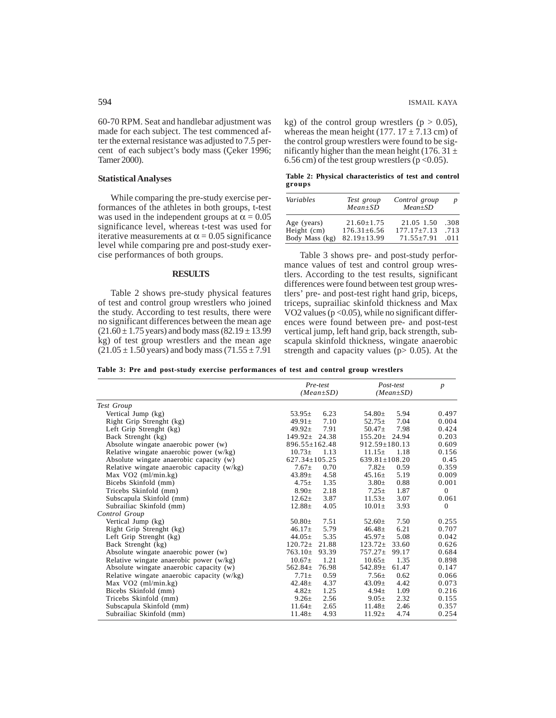60-70 RPM. Seat and handlebar adjustment was made for each subject. The test commenced after the external resistance was adjusted to 7.5 percent of each subject's body mass (Çeker 1996; Tamer 2000).

# **Statistical Analyses**

While comparing the pre-study exercise performances of the athletes in both groups, t-test was used in the independent groups at  $\alpha = 0.05$ significance level, whereas t-test was used for iterative measurements at  $\alpha$  = 0.05 significance level while comparing pre and post-study exercise performances of both groups.

### **RESULTS**

Table 2 shows pre-study physical features of test and control group wrestlers who joined the study. According to test results, there were no significant differences between the mean age  $(21.60 \pm 1.75$  years) and body mass  $(82.19 \pm 13.99)$ kg) of test group wrestlers and the mean age  $(21.05 \pm 1.50 \text{ years})$  and body mass  $(71.55 \pm 7.91$ 

kg) of the control group wrestlers ( $p > 0.05$ ), whereas the mean height (177.  $17 \pm 7.13$  cm) of the control group wrestlers were found to be significantly higher than the mean height (176. 31  $\pm$ 6.56 cm) of the test group wrestlers ( $p < 0.05$ ).

**Table 2: Physical characteristics of test and control groups**

| Variables                  | Test group<br>$Mean \pm SD$       | Control group<br>$Mean \pm SD$ | $\boldsymbol{p}$ |
|----------------------------|-----------------------------------|--------------------------------|------------------|
| Age (years)<br>Height (cm) | $21.60 + 1.75$<br>$176.31 + 6.56$ | 21.05 1.50<br>$177.17 + 7.13$  | .308<br>.713     |
| Body Mass (kg)             | $82.19 \pm 13.99$                 | $71.55 \pm 7.91$               | .011             |

Table 3 shows pre- and post-study performance values of test and control group wrestlers. According to the test results, significant differences were found between test group wrestlers' pre- and post-test right hand grip, biceps, triceps, suprailiac skinfold thickness and Max VO2 values ( $p < 0.05$ ), while no significant differences were found between pre- and post-test vertical jump, left hand grip, back strength, subscapula skinfold thickness, wingate anaerobic strength and capacity values ( $p > 0.05$ ). At the

**Table 3: Pre and post-study exercise performances of test and control group wrestlers**

|                                              | Pre-test<br>$(Mean \pm SD)$ | Post-test<br>$(Mean \pm SD)$ | $\boldsymbol{p}$ |
|----------------------------------------------|-----------------------------|------------------------------|------------------|
| Test Group                                   |                             |                              |                  |
| Vertical Jump (kg)                           | $53.95\pm$<br>6.23          | 5.94<br>54.80 $\pm$          | 0.497            |
| Right Grip Strenght (kg)                     | 7.10<br>$49.91 \pm$         | 7.04<br>$52.75 \pm$          | 0.004            |
| Left Grip Strenght (kg)                      | 7.91<br>$49.92 \pm$         | 7.98<br>$50.47 \pm$          | 0.424            |
| Back Strenght (kg)                           | $149.92 \pm$<br>24.38       | $155.20 \pm 24.94$           | 0.203            |
| Absolute wingate anaerobic power (w)         | $896.55 \pm 162.48$         | $912.59 \pm 180.13$          | 0.609            |
| Relative wingate anaerobic power $(w/kg)$    | $10.73\pm$<br>1.13          | $11.15 \pm$<br>1.18          | 0.156            |
| Absolute wingate anaerobic capacity (w)      | $627.34 \pm 105.25$         | $639.81 \pm 108.20$          | 0.45             |
| Relative wingate anaerobic capacity $(w/kg)$ | $7.67 \pm$<br>0.70          | $7.82 +$<br>0.59             | 0.359            |
| Max $VO2$ (ml/min.kg)                        | 4.58<br>$43.89 \pm$         | 5.19<br>$45.16\pm$           | 0.009            |
| Bicebs Skinfold (mm)                         | 1.35<br>$4.75 \pm$          | 0.88<br>$3.80 \pm$           | 0.001            |
| Tricebs Skinfold (mm)                        | 2.18<br>$8.90 \pm$          | 1.87<br>$7.25 \pm$           | $\overline{0}$   |
| Subscapula Skinfold (mm)                     | 3.87<br>$12.62 \pm$         | 3.07<br>$11.53\pm$           | 0.061            |
| Subrailiac Skinfold (mm)                     | $12.88 \pm$<br>4.05         | $10.01 \pm$<br>3.93          | $\overline{0}$   |
| Control Group                                |                             |                              |                  |
| Vertical Jump (kg)                           | $50.80 \pm$<br>7.51         | 7.50<br>$52.60 \pm$          | 0.255            |
| Right Grip Strenght (kg)                     | 5.79<br>$46.17 \pm$         | 6.21<br>$46.48 \pm$          | 0.707            |
| Left Grip Strenght (kg)                      | 5.35<br>$44.05 \pm$         | 5.08<br>$45.97\pm$           | 0.042            |
| Back Strenght (kg)                           | 21.88<br>$120.72 \pm$       | 33.60<br>$123.72 \pm$        | 0.626            |
| Absolute wingate anaerobic power (w)         | $763.10 \pm$<br>93.39       | $757.27 \pm$<br>99.17        | 0.684            |
| Relative wingate anaerobic power (w/kg)      | 1.21<br>$10.67 \pm$         | 1.35<br>$10.65\pm$           | 0.898            |
| Absolute wingate anaerobic capacity (w)      | $562.84 \pm$<br>76.98       | $542.89 \pm$<br>61.47        | 0.147            |
| Relative wingate anaerobic capacity (w/kg)   | 0.59<br>$7.71 \pm$          | $7.56 \pm$<br>0.62           | 0.066            |
| Max $VO2$ (ml/min.kg)                        | 4.37<br>$42.48 \pm$         | 4.42<br>$43.09\pm$           | 0.073            |
| Bicebs Skinfold (mm)                         | $4.82 +$<br>1.25            | 1.09<br>$4.94 \pm$           | 0.216            |
| Tricebs Skinfold (mm)                        | $9.26 \pm$<br>2.56          | 2.32<br>$9.05 \pm$           | 0.155            |
| Subscapula Skinfold (mm)                     | $11.64 \pm$<br>2.65         | $11.48 \pm$<br>2.46          | 0.357            |
| Subrailiac Skinfold (mm)                     | 4.93<br>$11.48 \pm$         | 4.74<br>$11.92 \pm$          | 0.254            |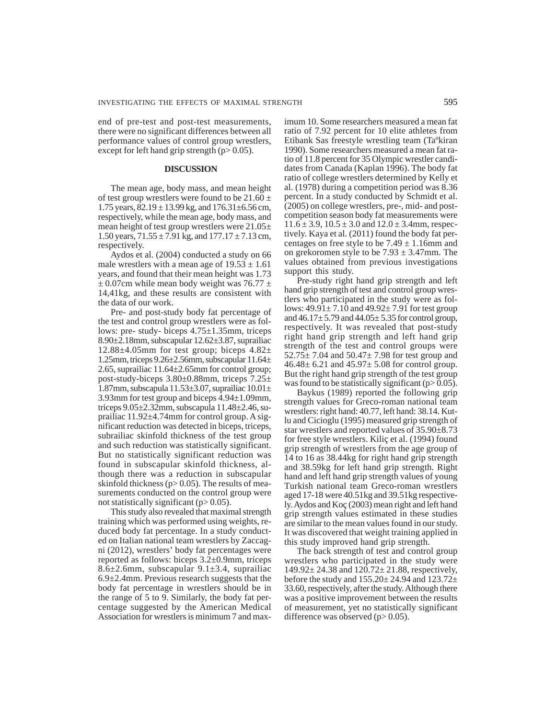end of pre-test and post-test measurements, there were no significant differences between all performance values of control group wrestlers, except for left hand grip strength  $(p> 0.05)$ .

# **DISCUSSION**

The mean age, body mass, and mean height of test group wrestlers were found to be  $21.60 \pm$ 1.75 years,  $82.19 \pm 13.99$  kg, and  $176.31 \pm 6.56$  cm, respectively, while the mean age, body mass, and mean height of test group wrestlers were 21.05± 1.50 years,  $71.55 \pm 7.91$  kg, and  $177.17 \pm 7.13$  cm, respectively.

Aydos et al. (2004) conducted a study on 66 male wrestlers with a mean age of  $19.53 \pm 1.61$ years, and found that their mean height was 1.73  $\pm$  0.07cm while mean body weight was 76.77  $\pm$ 14,41kg, and these results are consistent with the data of our work.

Pre- and post-study body fat percentage of the test and control group wrestlers were as follows: pre- study- biceps 4.75±1.35mm, triceps 8.90±2.18mm, subscapular 12.62±3.87, suprailiac 12.88 $\pm$ 4.05mm for test group; biceps 4.82 $\pm$ 1.25mm, triceps 9.26±2.56mm, subscapular 11.64± 2.65, suprailiac 11.64±2.65mm for control group; post-study-biceps 3.80±0.88mm, triceps 7.25± 1.87mm, subscapula 11.53±3.07, suprailiac 10.01± 3.93mm for test group and biceps 4.94±1.09mm, triceps 9.05±2.32mm, subscapula 11.48±2.46, suprailiac 11.92±4.74mm for control group. A significant reduction was detected in biceps, triceps, subrailiac skinfold thickness of the test group and such reduction was statistically significant. But no statistically significant reduction was found in subscapular skinfold thickness, although there was a reduction in subscapular skinfold thickness ( $p > 0.05$ ). The results of measurements conducted on the control group were not statistically significant  $(p>0.05)$ .

This study also revealed that maximal strength training which was performed using weights, reduced body fat percentage. In a study conducted on Italian national team wrestlers by Zaccagni (2012), wrestlers' body fat percentages were reported as follows: biceps 3.2±0.9mm, triceps 8.6 $\pm$ 2.6mm, subscapular 9.1 $\pm$ 3.4, suprailiac  $6.9\pm2.4$ mm. Previous research suggests that the body fat percentage in wrestlers should be in the range of 5 to 9. Similarly, the body fat percentage suggested by the American Medical Association for wrestlers is minimum 7 and maximum 10. Some researchers measured a mean fat ratio of 7.92 percent for 10 elite athletes from Etibank Sas freestyle wrestling team (Taºkiran 1990). Some researchers measured a mean fat ratio of 11.8 percent for 35 Olympic wrestler candidates from Canada (Kaplan 1996). The body fat ratio of college wrestlers determined by Kelly et al. (1978) during a competition period was 8.36 percent. In a study conducted by Schmidt et al. (2005) on college wrestlers, pre-, mid- and postcompetition season body fat measurements were  $11.6 \pm 3.9$ ,  $10.5 \pm 3.0$  and  $12.0 \pm 3.4$ mm, respectively. Kaya et al. (2011) found the body fat percentages on free style to be  $7.49 \pm 1.16$ mm and on grekoromen style to be  $7.93 \pm 3.47$ mm. The values obtained from previous investigations support this study.

Pre-study right hand grip strength and left hand grip strength of test and control group wrestlers who participated in the study were as follows:  $49.91 \pm 7.10$  and  $49.92 \pm 7.91$  for test group and  $46.17 \pm 5.79$  and  $44.05 \pm 5.35$  for control group, respectively. It was revealed that post-study right hand grip strength and left hand grip strength of the test and control groups were  $52.75 \pm 7.04$  and  $50.47 \pm 7.98$  for test group and  $46.48 \pm 6.21$  and  $45.97 \pm 5.08$  for control group. But the right hand grip strength of the test group was found to be statistically significant  $(p> 0.05)$ .

Baykus (1989) reported the following grip strength values for Greco-roman national team wrestlers: right hand: 40.77, left hand: 38.14. Kutlu and Cicioglu (1995) measured grip strength of star wrestlers and reported values of 35.90±8.73 for free style wrestlers. Kiliç et al. (1994) found grip strength of wrestlers from the age group of 14 to 16 as 38.44kg for right hand grip strength and 38.59kg for left hand grip strength. Right hand and left hand grip strength values of young Turkish national team Greco-roman wrestlers aged 17-18 were 40.51kg and 39.51kg respectively. Aydos and Koç (2003) mean right and left hand grip strength values estimated in these studies are similar to the mean values found in our study. It was discovered that weight training applied in this study improved hand grip strength.

The back strength of test and control group wrestlers who participated in the study were 149.92± 24.38 and 120.72± 21.88, respectively, before the study and  $155.20 \pm 24.94$  and  $123.72 \pm$ 33.60, respectively, after the study. Although there was a positive improvement between the results of measurement, yet no statistically significant difference was observed  $(p>0.05)$ .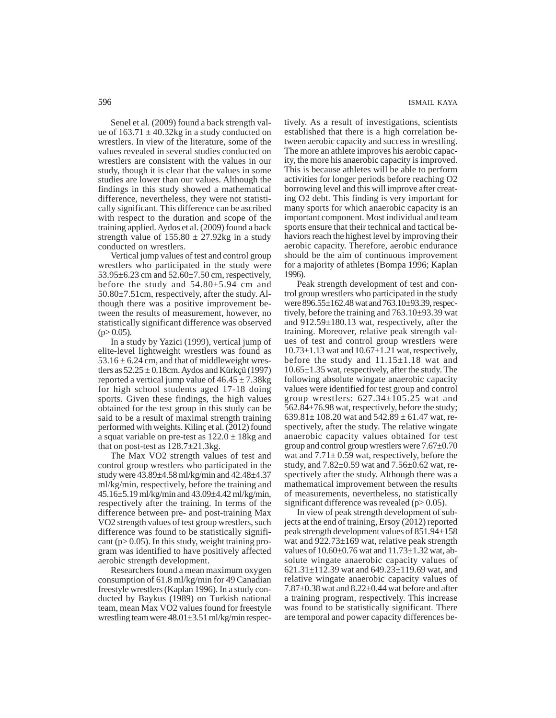Senel et al. (2009) found a back strength value of  $163.71 \pm 40.32$ kg in a study conducted on wrestlers. In view of the literature, some of the values revealed in several studies conducted on wrestlers are consistent with the values in our study, though it is clear that the values in some studies are lower than our values. Although the findings in this study showed a mathematical difference, nevertheless, they were not statistically significant. This difference can be ascribed with respect to the duration and scope of the training applied. Aydos et al. (2009) found a back strength value of  $155.80 \pm 27.92$ kg in a study conducted on wrestlers.

Vertical jump values of test and control group wrestlers who participated in the study were 53.95±6.23 cm and 52.60±7.50 cm, respectively, before the study and 54.80±5.94 cm and 50.80±7.51cm, respectively, after the study. Although there was a positive improvement between the results of measurement, however, no statistically significant difference was observed  $(p>0.05)$ .

In a study by Yazici (1999), vertical jump of elite-level lightweight wrestlers was found as  $53.16 \pm 6.24$  cm, and that of middleweight wrestlers as  $52.25 \pm 0.18$ cm. Aydos and Kürkçü (1997) reported a vertical jump value of  $46.45 \pm 7.38$ kg for high school students aged 17-18 doing sports. Given these findings, the high values obtained for the test group in this study can be said to be a result of maximal strength training performed with weights. Kilinç et al. (2012) found a squat variable on pre-test as  $122.0 \pm 18$ kg and that on post-test as  $128.7 \pm 21.3$ kg.

The Max VO2 strength values of test and control group wrestlers who participated in the study were 43.89±4.58 ml/kg/min and 42.48±4.37 ml/kg/min, respectively, before the training and 45.16±5.19 ml/kg/min and 43.09±4.42 ml/kg/min, respectively after the training. In terms of the difference between pre- and post-training Max VO2 strength values of test group wrestlers, such difference was found to be statistically significant ( $p$  > 0.05). In this study, weight training program was identified to have positively affected aerobic strength development.

Researchers found a mean maximum oxygen consumption of 61.8 ml/kg/min for 49 Canadian freestyle wrestlers (Kaplan 1996). In a study conducted by Baykus (1989) on Turkish national team, mean Max VO2 values found for freestyle wrestling team were 48.01±3.51 ml/kg/min respectively. As a result of investigations, scientists established that there is a high correlation between aerobic capacity and success in wrestling. The more an athlete improves his aerobic capacity, the more his anaerobic capacity is improved. This is because athletes will be able to perform activities for longer periods before reaching O2 borrowing level and this will improve after creating O2 debt. This finding is very important for many sports for which anaerobic capacity is an important component. Most individual and team sports ensure that their technical and tactical behaviors reach the highest level by improving their aerobic capacity. Therefore, aerobic endurance should be the aim of continuous improvement for a majority of athletes (Bompa 1996; Kaplan 1996).

Peak strength development of test and control group wrestlers who participated in the study were 896.55±162.48 wat and 763.10±93.39, respectively, before the training and 763.10±93.39 wat and 912.59±180.13 wat, respectively, after the training. Moreover, relative peak strength values of test and control group wrestlers were  $10.73\pm1.13$  wat and  $10.67\pm1.21$  wat, respectively, before the study and  $11.15\pm1.18$  wat and 10.65±1.35 wat, respectively, after the study. The following absolute wingate anaerobic capacity values were identified for test group and control group wrestlers: 627.34±105.25 wat and 562.84±76.98 wat, respectively, before the study; 639.81 $\pm$  108.20 wat and 542.89  $\pm$  61.47 wat, respectively, after the study. The relative wingate anaerobic capacity values obtained for test group and control group wrestlers were 7.67±0.70 wat and  $7.71 \pm 0.59$  wat, respectively, before the study, and 7.82±0.59 wat and 7.56±0.62 wat, respectively after the study. Although there was a mathematical improvement between the results of measurements, nevertheless, no statistically significant difference was revealed ( $p > 0.05$ ).

In view of peak strength development of subjects at the end of training, Ersoy (2012) reported peak strength development values of 851.94±158 wat and  $922.73\pm169$  wat, relative peak strength values of 10.60±0.76 wat and 11.73±1.32 wat, absolute wingate anaerobic capacity values of 621.31±112.39 wat and 649.23±119.69 wat, and relative wingate anaerobic capacity values of 7.87±0.38 wat and 8.22±0.44 wat before and after a training program, respectively. This increase was found to be statistically significant. There are temporal and power capacity differences be-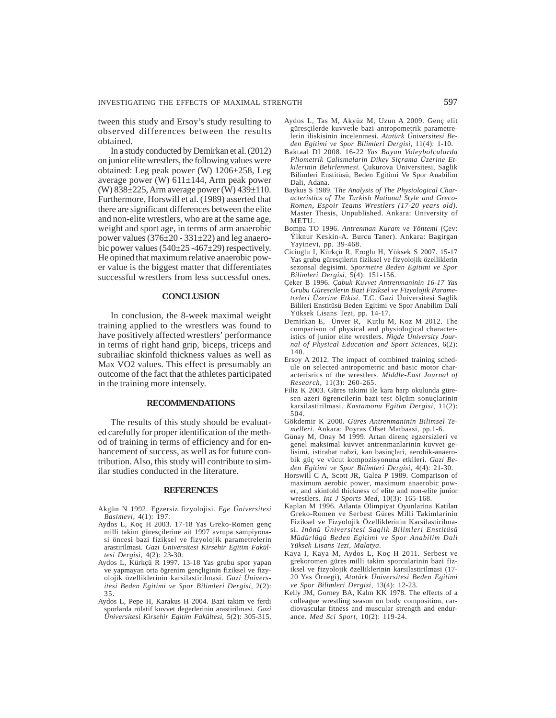tween this study and Ersoy's study resulting to observed differences between the results obtained.

In a study conducted by Demirkan et al. (2012) on junior elite wrestlers, the following values were obtained: Leg peak power (W) 1206±258, Leg average power (W) 611±144, Arm peak power (W) 838±225, Arm average power (W) 439±110. Furthermore, Horswill et al. (1989) asserted that there are significant differences between the elite and non-elite wrestlers, who are at the same age, weight and sport age, in terms of arm anaerobic power values  $(376\pm20 - 331\pm22)$  and leg anaerobic power values  $(540±25-467±29)$  respectively. He opined that maximum relative anaerobic power value is the biggest matter that differentiates successful wrestlers from less successful ones.

## **CONCLUSION**

In conclusion, the 8-week maximal weight training applied to the wrestlers was found to have positively affected wrestlers' performance in terms of right hand grip, biceps, triceps and subrailiac skinfold thickness values as well as Max VO2 values. This effect is presumably an outcome of the fact that the athletes participated in the training more intensely.

# **RECOMMENDATIONS**

The results of this study should be evaluated carefully for proper identification of the method of training in terms of efficiency and for enhancement of success, as well as for future contribution. Also, this study will contribute to similar studies conducted in the literature.

#### **REFERENCES**

- Akgün N 1992. Egzersiz fizyolojisi. *Ege Üniversitesi Basimevi*, 4(1): 197.
- Aydos L, Koç H 2003. 17-18 Yas Greko-Romen genç milli takim güresçilerine ait 1997 avrupa sampiyonasi öncesi bazi fiziksel ve fizyolojik parametrelerin arastirilmasi. *Gazi Üniversitesi Kirsehir Egitim Fakültesi Dergisi*, 4(2): 23-30.
- Aydos L, Kürkçü R 1997. 13-18 Yas grubu spor yapan ve yapmayan orta ögrenim gençliginin fiziksel ve fizyolojik özelliklerinin karsilastirilmasi. *Gazi Üniversitesi Beden Egitimi ve Spor Bilimleri Dergisi*, 2(2): 35.
- Aydos L, Pepe H, Karakus H 2004. Bazi takim ve ferdi sporlarda rölatif kuvvet degerlerinin arastirilmasi. *Gazi Üniversitesi Kirsehir Egitim Fakültesi*, 5(2): 305-315.
- Aydos L, Tas M, Akyüz M, Uzun A 2009. Genç elit güresçilerde kuvvetle bazi antropometrik parametrelerin iliskisinin incelenmesi. *Atatürk Üniversitesi Beden Egitimi ve Spor Bilimleri Dergisi,* 11(4): 1-10.
- Baktaal DI 2008. 16-22 *Yas Bayan Voleybolcularda Pliometrik Çalismalarin Dikey Siçrama Üzerine Etkilerinin Belirlenmesi.* Çukurova Üniversitesi, Saglik Bilimleri Enstitüsü, Beden Egitimi Ve Spor Anabilim Dali, Adana.
- Baykus S 1989. T*he Analysis of The Physiological Characteristics of The Turkish National Style and Greco-Romen, Espoir Teams Wrestlers (17-20 years old).* Master Thesis, Unpublished. Ankara: University of METU.
- Bompa TO 1996. *Antrenman Kuram ve Yöntemi* (Çev: Ýlknur Keskin-A. Burcu Taner). Ankara: Bagirgan Yayinevi, pp. 39-468.
- Cicioglu I, Kürkçü R, Eroglu H, Yüksek S 2007. 15-17 Yas grubu güresçilerin fiziksel ve fizyolojik özelliklerin sezonsal degisimi. *Spormetre Beden Egitimi ve Spor Bilimleri Dergisi*, 5(4): 151-156.
- Çeker B 1996. *Çabuk Kuvvet Antrenmaninin 16-17 Yas Grubu Gürescilerin Bazi Fiziksel ve Fizyolojik Parametreleri Üzerine Etkisi.* T.C. Gazi Üniversitesi Saglik Bilileri Enstitüsü Beden Egitimi ve Spor Anabilim Dali Yüksek Lisans Tezi, pp. 14-17.
- Demirkan E, Ünver R, Kutlu M, Koz M 2012. The comparison of physical and physiological characteristics of junior elite wrestlers. *Nigde University Journal of Physical Education and Sport Sciences,* 6(2): 140.
- Ersoy A 2012. The impact of combined training schedule on selected antropometric and basic motor characterisrics of the wrestlers. *Middle-East Journal of Research*, 11(3): 260-265.
- Filiz K 2003. Güres takimi ile kara harp okulunda güresen azeri ögrencilerin bazi test ölçüm sonuçlarinin karsilastirilmasi. *Kastamonu Egitim Dergisi*, 11(2): 504.
- Gökdemir K 2000. *Güres Antrenmaninin Bilimsel Temelleri.* Ankara: Poyras Ofset Matbaasi, pp.1-6.
- Günay M, Onay M 1999. Artan direnç egzersizleri ve genel maksimal kuvvet antrenmanlarinin kuvvet gelisimi, istirahat nabzi, kan basinçlari, aerobik-anaerobik güç ve vücut kompozisyonuna etkileri. *Gazi Beden Egitimi ve Spor Bilimleri Dergisi*, 4(4): 21-30.
- Horswill C A, Scott JR, Galea P 1989. Comparison of maximum aerobic power, maximum anaerobic power, and skinfold thickness of elite and non-elite junior wrestlers. *Int J Sports Med*, 10(3): 165-168.
- Kaplan M 1996. Atlanta Olimpiyat Oyunlarina Katilan Greko-Romen ve Serbest Güres Milli Takimlarinin Fiziksel ve Fizyolojik Özelliklerinin Karsilastirilmasi. *Inönü Üniversitesi Saglik Bilimleri Enstitüsü Müdürlügü Beden Egitimi ve Spor Anabilim Dali Yüksek Lisans Tezi, Malatya*.
- Kaya I, Kaya M, Aydos L, Koç H 2011. Serbest ve grekoromen güres milli takim sporcularinin bazi fiziksel ve fizyolojik özelliklerinin karsilastirilmasi (17- 20 Yas Örnegi), *Atatürk Üniversitesi Beden Egitimi ve Spor Bilimleri Dergisi,* 13(4): 12-23.
- Kelly JM, Gorney BA, Kalm KK 1978. The effects of a colleague wrestling season on body composition, cardiovascular fitness and muscular strength and endurance. *Med Sci Sport*, 10(2): 119-24.